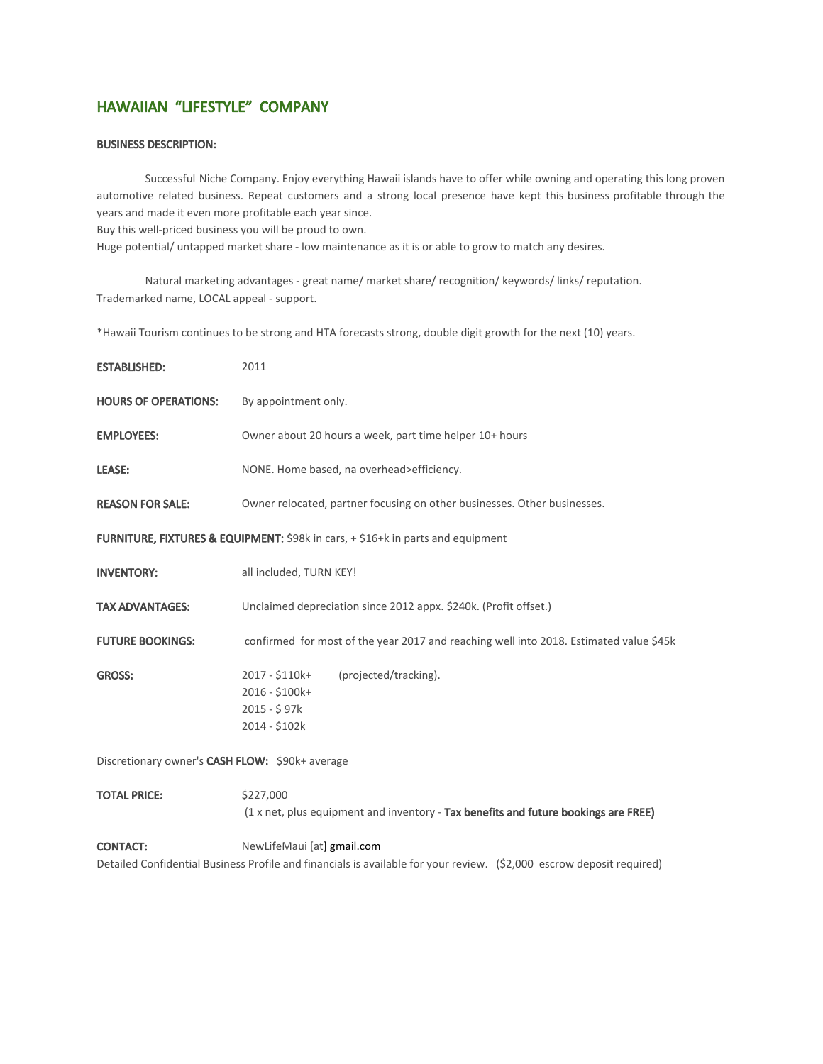# HAWAIIAN "LIFESTYLE" COMPANY

## BUSINESS DESCRIPTION:

Successful Niche Company. Enjoy everything Hawaii islands have to offer while owning and operating this long proven automotive related business. Repeat customers and a strong local presence have kept this business profitable through the years and made it even more profitable each year since.

Buy this well-priced business you will be proud to own.

Huge potential/ untapped market share - low maintenance as it is or able to grow to match any desires.

Natural marketing advantages - great name/ market share/ recognition/ keywords/ links/ reputation. Trademarked name, LOCAL appeal - support.

\*Hawaii Tourism continues to be strong and HTA forecasts strong, double digit growth for the next (10) years.

| <b>ESTABLISHED:</b>                                                             | 2011                                                                                                   |
|---------------------------------------------------------------------------------|--------------------------------------------------------------------------------------------------------|
| <b>HOURS OF OPERATIONS:</b>                                                     | By appointment only.                                                                                   |
| <b>EMPLOYEES:</b>                                                               | Owner about 20 hours a week, part time helper 10+ hours                                                |
| LEASE:                                                                          | NONE. Home based, na overhead>efficiency.                                                              |
| <b>REASON FOR SALE:</b>                                                         | Owner relocated, partner focusing on other businesses. Other businesses.                               |
| FURNITURE, FIXTURES & EQUIPMENT: \$98k in cars, + \$16+k in parts and equipment |                                                                                                        |
| <b>INVENTORY:</b>                                                               | all included, TURN KEY!                                                                                |
| <b>TAX ADVANTAGES:</b>                                                          | Unclaimed depreciation since 2012 appx. \$240k. (Profit offset.)                                       |
| <b>FUTURE BOOKINGS:</b>                                                         | confirmed for most of the year 2017 and reaching well into 2018. Estimated value \$45k                 |
| <b>GROSS:</b>                                                                   | 2017 - \$110k+<br>(projected/tracking).<br>2016 - \$100k+<br>2015 - \$97k<br>2014 - \$102k             |
| Discretionary owner's CASH FLOW: \$90k+ average                                 |                                                                                                        |
| <b>TOTAL PRICE:</b>                                                             | \$227,000<br>$(1 \times net, plus equipment and inventory - Tax benefits and future bookings are FRE)$ |

CONTACT: NewLifeMaui [at] [gmail.com](http://gmail.com/) Detailed Confidential Business Profile and financials is available for your review. (\$2,000 escrow deposit required)